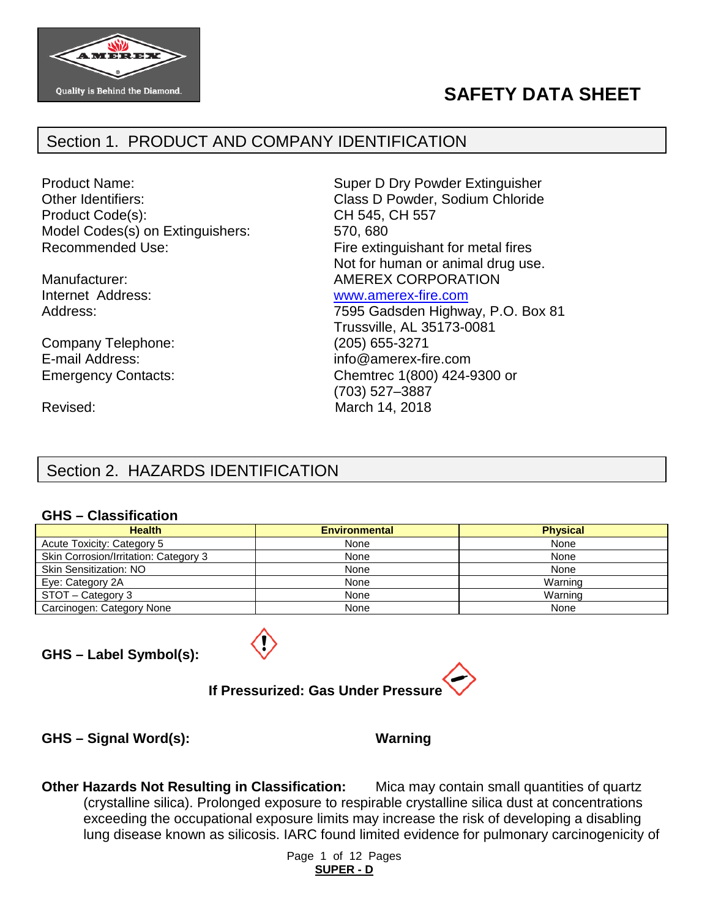

# **SAFETY DATA SHEET**

# Section 1. PRODUCT AND COMPANY IDENTIFICATION

Other Identifiers: Class D Powder, Sodium Chloride Product Code(s): CH 545, CH 557 Model Codes(s) on Extinguishers: 570, 680 Recommended Use: Fire extinguishant for metal fires

Company Telephone: (205) 655-3271 E-mail Address: info@amerex-fire.com

Product Name: Super D Dry Powder Extinguisher Not for human or animal drug use. Manufacturer:  $\blacksquare$  AMEREX CORPORATION Internet Address: [www.amerex-fire.com](http://www.amerex-fire.com/) Address: Mathematic Mathematic Metal Contract 7595 Gadsden Highway, P.O. Box 81

Trussville, AL 35173-0081 Emergency Contacts: Chemtrec 1(800) 424-9300 or (703) 527–3887 Revised: March 14, 2018

# Section 2. HAZARDS IDENTIFICATION

#### **GHS – Classification**

| <b>Health</b>                         | <b>Environmental</b> | <b>Physical</b> |
|---------------------------------------|----------------------|-----------------|
| Acute Toxicity: Category 5            | None                 | None            |
| Skin Corrosion/Irritation: Category 3 | None                 | None            |
| <b>Skin Sensitization: NO</b>         | None                 | None            |
| Eye: Category 2A                      | None                 | Warning         |
| STOT - Category 3                     | None                 | Warning         |
| Carcinogen: Category None             | None                 | None            |

**GHS – Label Symbol(s):**



# **If Pressurized: Gas Under Pressure**

**GHS – Signal Word(s): Warning**

**Other Hazards Not Resulting in Classification:** Mica may contain small quantities of quartz (crystalline silica). Prolonged exposure to respirable crystalline silica dust at concentrations exceeding the occupational exposure limits may increase the risk of developing a disabling lung disease known as silicosis. IARC found limited evidence for pulmonary carcinogenicity of

> Page 1 of 12 Pages **SUPER - D**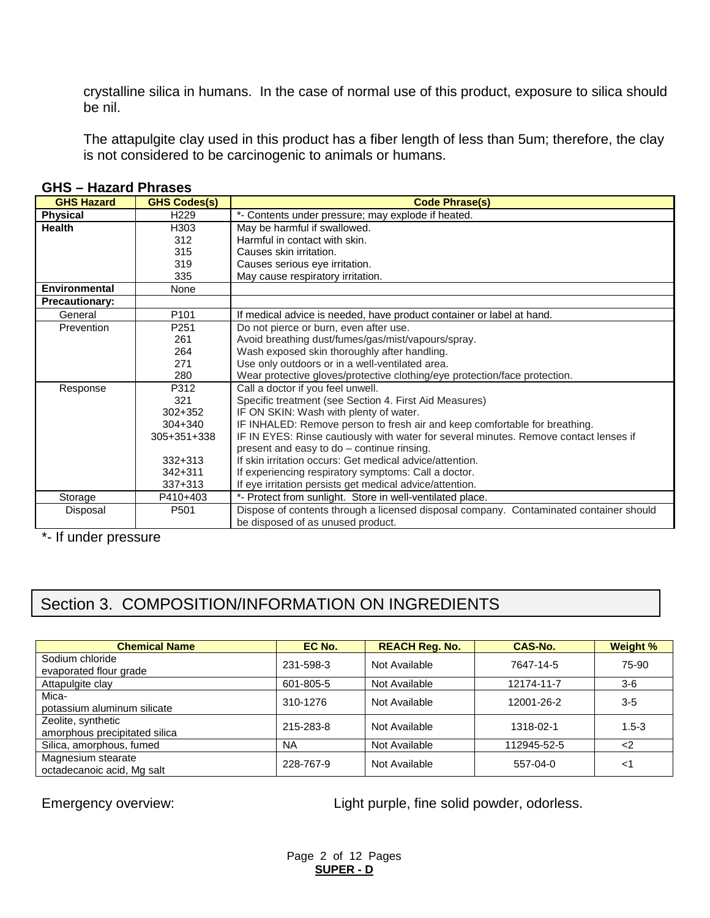crystalline silica in humans. In the case of normal use of this product, exposure to silica should be nil.

The attapulgite clay used in this product has a fiber length of less than 5um; therefore, the clay is not considered to be carcinogenic to animals or humans.

| <b>GHS Hazard</b>     | <b>GHS Codes(s)</b> | <b>Code Phrase(s)</b>                                                                  |
|-----------------------|---------------------|----------------------------------------------------------------------------------------|
| <b>Physical</b>       | H <sub>229</sub>    | *- Contents under pressure; may explode if heated.                                     |
| <b>Health</b>         | H303                | May be harmful if swallowed.                                                           |
|                       | 312                 | Harmful in contact with skin.                                                          |
|                       | 315                 | Causes skin irritation.                                                                |
|                       | 319                 | Causes serious eye irritation.                                                         |
|                       | 335                 | May cause respiratory irritation.                                                      |
| <b>Environmental</b>  | None                |                                                                                        |
| <b>Precautionary:</b> |                     |                                                                                        |
| General               | P <sub>101</sub>    | If medical advice is needed, have product container or label at hand.                  |
| Prevention            | P251                | Do not pierce or burn, even after use.                                                 |
|                       | 261                 | Avoid breathing dust/fumes/gas/mist/vapours/spray.                                     |
|                       | 264                 | Wash exposed skin thoroughly after handling.                                           |
|                       | 271                 | Use only outdoors or in a well-ventilated area.                                        |
|                       | 280                 | Wear protective gloves/protective clothing/eye protection/face protection.             |
| Response              | P312                | Call a doctor if you feel unwell.                                                      |
|                       | 321                 | Specific treatment (see Section 4. First Aid Measures)                                 |
|                       | 302+352             | IF ON SKIN: Wash with plenty of water.                                                 |
|                       | 304+340             | IF INHALED: Remove person to fresh air and keep comfortable for breathing.             |
|                       | 305+351+338         | IF IN EYES: Rinse cautiously with water for several minutes. Remove contact lenses if  |
|                       |                     | present and easy to do - continue rinsing.                                             |
|                       | $332 + 313$         | If skin irritation occurs: Get medical advice/attention.                               |
|                       | $342 + 311$         | If experiencing respiratory symptoms: Call a doctor.                                   |
|                       | $337 + 313$         | If eye irritation persists get medical advice/attention.                               |
| Storage               | P410+403            | *- Protect from sunlight. Store in well-ventilated place.                              |
| Disposal              | P501                | Dispose of contents through a licensed disposal company. Contaminated container should |
|                       |                     | be disposed of as unused product.                                                      |

#### **GHS – Hazard Phrases**

\*- If under pressure

# Section 3. COMPOSITION/INFORMATION ON INGREDIENTS

| <b>Chemical Name</b>                                | EC No.    | <b>REACH Reg. No.</b> | CAS-No.     | <b>Weight %</b> |
|-----------------------------------------------------|-----------|-----------------------|-------------|-----------------|
| Sodium chloride<br>evaporated flour grade           | 231-598-3 | Not Available         | 7647-14-5   | 75-90           |
| Attapulgite clay                                    | 601-805-5 | Not Available         | 12174-11-7  | $3-6$           |
| Mica-<br>potassium aluminum silicate                | 310-1276  | Not Available         | 12001-26-2  | $3-5$           |
| Zeolite, synthetic<br>amorphous precipitated silica | 215-283-8 | Not Available         | 1318-02-1   | $1.5 - 3$       |
| Silica, amorphous, fumed                            | <b>NA</b> | Not Available         | 112945-52-5 | $\langle$ 2     |
| Magnesium stearate<br>octadecanoic acid, Mg salt    | 228-767-9 | Not Available         | 557-04-0    | <1              |

Emergency overview:  $Light$  purple, fine solid powder, odorless.

Page 2 of 12 Pages **SUPER - D**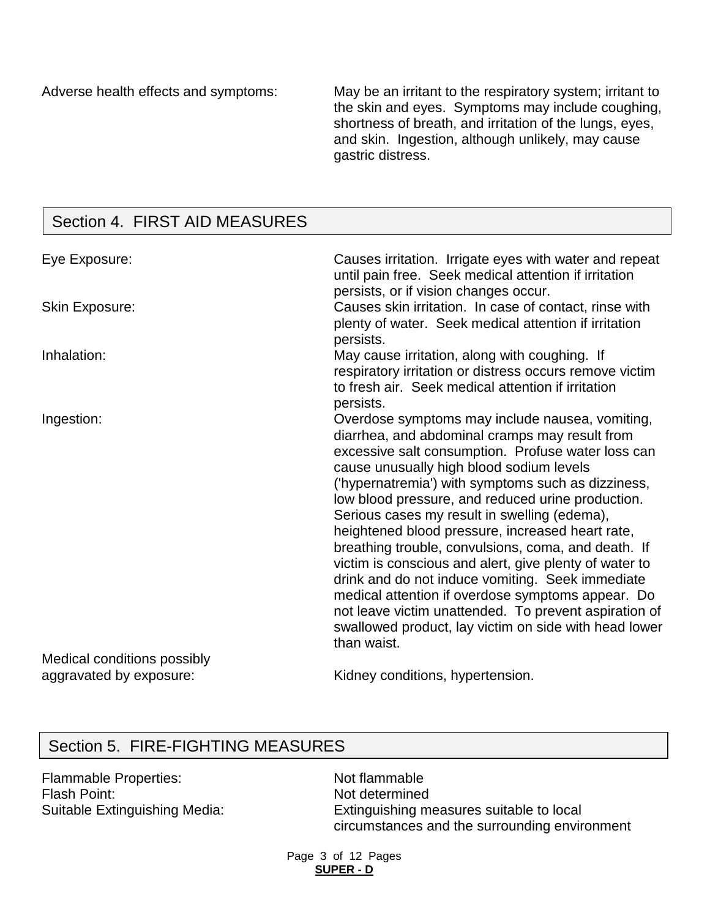Adverse health effects and symptoms: May be an irritant to the respiratory system; irritant to the skin and eyes. Symptoms may include coughing, shortness of breath, and irritation of the lungs, eyes, and skin. Ingestion, although unlikely, may cause gastric distress.

# Section 4. FIRST AID MEASURES

| Eye Exposure:               | Causes irritation. Irrigate eyes with water and repeat<br>until pain free. Seek medical attention if irritation<br>persists, or if vision changes occur.                                                                                                                                                                                                                                                                                                                                                                                                                                                                                                                                                                                                                      |
|-----------------------------|-------------------------------------------------------------------------------------------------------------------------------------------------------------------------------------------------------------------------------------------------------------------------------------------------------------------------------------------------------------------------------------------------------------------------------------------------------------------------------------------------------------------------------------------------------------------------------------------------------------------------------------------------------------------------------------------------------------------------------------------------------------------------------|
| <b>Skin Exposure:</b>       | Causes skin irritation. In case of contact, rinse with<br>plenty of water. Seek medical attention if irritation<br>persists.                                                                                                                                                                                                                                                                                                                                                                                                                                                                                                                                                                                                                                                  |
| Inhalation:                 | May cause irritation, along with coughing. If<br>respiratory irritation or distress occurs remove victim<br>to fresh air. Seek medical attention if irritation<br>persists.                                                                                                                                                                                                                                                                                                                                                                                                                                                                                                                                                                                                   |
| Ingestion:                  | Overdose symptoms may include nausea, vomiting,<br>diarrhea, and abdominal cramps may result from<br>excessive salt consumption. Profuse water loss can<br>cause unusually high blood sodium levels<br>('hypernatremia') with symptoms such as dizziness,<br>low blood pressure, and reduced urine production.<br>Serious cases my result in swelling (edema),<br>heightened blood pressure, increased heart rate,<br>breathing trouble, convulsions, coma, and death. If<br>victim is conscious and alert, give plenty of water to<br>drink and do not induce vomiting. Seek immediate<br>medical attention if overdose symptoms appear. Do<br>not leave victim unattended. To prevent aspiration of<br>swallowed product, lay victim on side with head lower<br>than waist. |
| Medical conditions possibly |                                                                                                                                                                                                                                                                                                                                                                                                                                                                                                                                                                                                                                                                                                                                                                               |

# aggravated by exposure:

Kidney conditions, hypertension.

### Section 5. FIRE-FIGHTING MEASURES

Flammable Properties: Not flammable Flash Point:<br>
Suitable Extinguishing Media:<br>
Extinguishing m

Extinguishing measures suitable to local circumstances and the surrounding environment

Page 3 of 12 Pages **SUPER - D**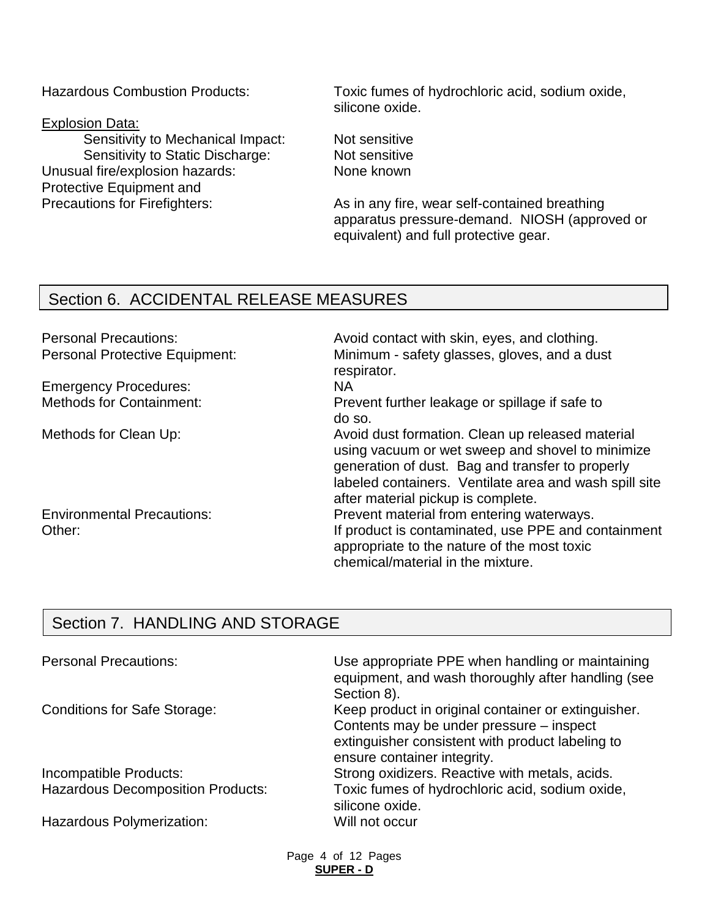Explosion Data:

Sensitivity to Mechanical Impact: Not sensitive Sensitivity to Static Discharge: Not sensitive Unusual fire/explosion hazards: None known Protective Equipment and

Hazardous Combustion Products: Toxic fumes of hydrochloric acid, sodium oxide, silicone oxide.

Precautions for Firefighters: As in any fire, wear self-contained breathing apparatus pressure-demand. NIOSH (approved or equivalent) and full protective gear.

### Section 6. ACCIDENTAL RELEASE MEASURES

Emergency Procedures: NA

Environmental Precautions: Prevent material from entering waterways.

Personal Precautions: example and avoid contact with skin, eyes, and clothing. Personal Protective Equipment: Minimum - safety glasses, gloves, and a dust respirator.

> Prevent further leakage or spillage if safe to do so.

Methods for Clean Up: Methods for Clean Up: Avoid dust formation. Clean up released material using vacuum or wet sweep and shovel to minimize generation of dust. Bag and transfer to properly labeled containers. Ventilate area and wash spill site after material pickup is complete.

Other: If product is contaminated, use PPE and containment appropriate to the nature of the most toxic chemical/material in the mixture.

# Section 7. HANDLING AND STORAGE

| <b>Personal Precautions:</b>             | Use appropriate PPE when handling or maintaining<br>equipment, and wash thoroughly after handling (see<br>Section 8).                                                              |
|------------------------------------------|------------------------------------------------------------------------------------------------------------------------------------------------------------------------------------|
| <b>Conditions for Safe Storage:</b>      | Keep product in original container or extinguisher.<br>Contents may be under pressure – inspect<br>extinguisher consistent with product labeling to<br>ensure container integrity. |
| Incompatible Products:                   | Strong oxidizers. Reactive with metals, acids.                                                                                                                                     |
| <b>Hazardous Decomposition Products:</b> | Toxic fumes of hydrochloric acid, sodium oxide,<br>silicone oxide.                                                                                                                 |
| Hazardous Polymerization:                | Will not occur                                                                                                                                                                     |

Page 4 of 12 Pages **SUPER - D**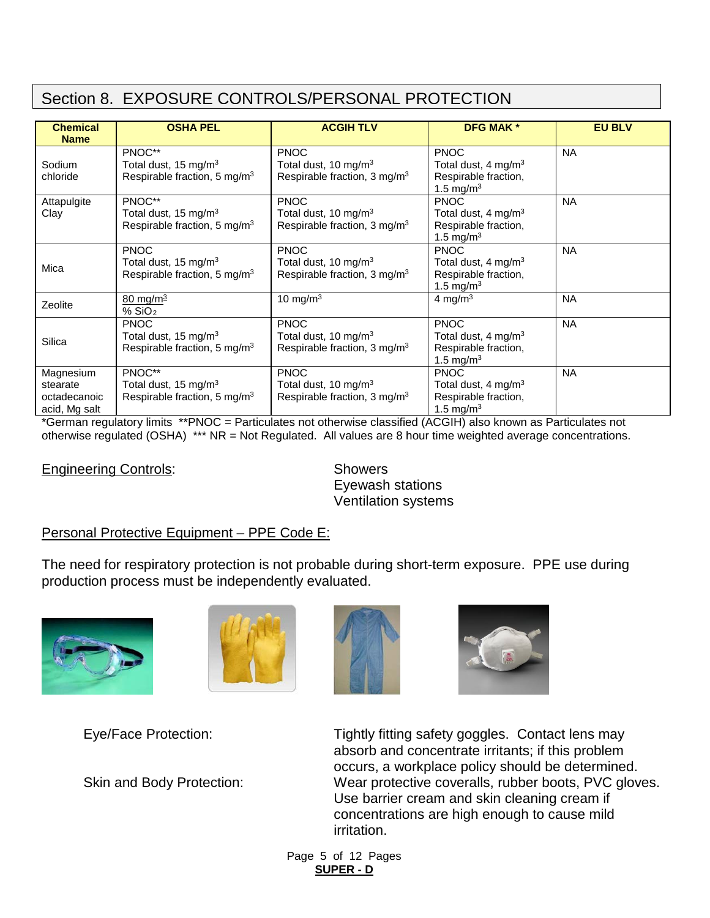# Section 8. EXPOSURE CONTROLS/PERSONAL PROTECTION

| <b>Chemical</b><br><b>Name</b>                         | <b>OSHA PEL</b>                                                                             | <b>ACGIH TLV</b>                                                                            | <b>DFG MAK*</b>                                                                                 | <b>EU BLV</b> |
|--------------------------------------------------------|---------------------------------------------------------------------------------------------|---------------------------------------------------------------------------------------------|-------------------------------------------------------------------------------------------------|---------------|
| Sodium<br>chloride                                     | PNOC**<br>Total dust, 15 mg/m <sup>3</sup><br>Respirable fraction, 5 mg/m <sup>3</sup>      | <b>PNOC</b><br>Total dust, 10 mg/m $3$<br>Respirable fraction, 3 mg/m <sup>3</sup>          | <b>PNOC</b><br>Total dust, $4 \text{ mg/m}^3$<br>Respirable fraction,<br>1.5 mg/m <sup>3</sup>  | <b>NA</b>     |
| Attapulgite<br>Clay                                    | PNOC**<br>Total dust, 15 mg/m $3$<br>Respirable fraction, 5 mg/m <sup>3</sup>               | <b>PNOC</b><br>Total dust, 10 mg/m $3$<br>Respirable fraction, 3 mg/m <sup>3</sup>          | <b>PNOC</b><br>Total dust, $4 \text{ mg/m}^3$<br>Respirable fraction,<br>1.5 mg/m <sup>3</sup>  | <b>NA</b>     |
| Mica                                                   | <b>PNOC</b><br>Total dust, 15 mg/m <sup>3</sup><br>Respirable fraction, 5 mg/m <sup>3</sup> | <b>PNOC</b><br>Total dust, 10 mg/m <sup>3</sup><br>Respirable fraction, $3 \text{ mg/m}^3$  | <b>PNOC</b><br>Total dust, $4 \text{ ma/m}^3$<br>Respirable fraction,<br>1.5 mg/m <sup>3</sup>  | <b>NA</b>     |
| Zeolite                                                | $80 \,\mathrm{mg/m^3}$<br>% SiO <sub>2</sub>                                                | 10 mg/m $3$                                                                                 | 4 mg/m $3$                                                                                      | <b>NA</b>     |
| Silica                                                 | <b>PNOC</b><br>Total dust, 15 mg/m <sup>3</sup><br>Respirable fraction, 5 mg/m <sup>3</sup> | <b>PNOC</b><br>Total dust, 10 mg/m <sup>3</sup><br>Respirable fraction, 3 mg/m <sup>3</sup> | <b>PNOC</b><br>Total dust, 4 mg/m <sup>3</sup><br>Respirable fraction,<br>1.5 mg/m <sup>3</sup> | <b>NA</b>     |
| Magnesium<br>stearate<br>octadecanoic<br>acid, Mg salt | PNOC**<br>Total dust, 15 mg/m <sup>3</sup><br>Respirable fraction, 5 mg/m <sup>3</sup>      | <b>PNOC</b><br>Total dust, 10 mg/m $3$<br>Respirable fraction, 3 mg/m <sup>3</sup>          | <b>PNOC</b><br>Total dust, 4 mg/m <sup>3</sup><br>Respirable fraction,<br>1.5 mg/m <sup>3</sup> | <b>NA</b>     |

\*German regulatory limits \*\*PNOC = Particulates not otherwise classified (ACGIH) also known as Particulates not otherwise regulated (OSHA) \*\*\* NR = Not Regulated. All values are 8 hour time weighted average concentrations.

#### **Engineering Controls:** Showers

Eyewash stations Ventilation systems

#### Personal Protective Equipment – PPE Code E:

The need for respiratory protection is not probable during short-term exposure. PPE use during production process must be independently evaluated.







Eye/Face Protection: Tightly fitting safety goggles. Contact lens may absorb and concentrate irritants; if this problem occurs, a workplace policy should be determined. Skin and Body Protection: Wear protective coveralls, rubber boots, PVC gloves. Use barrier cream and skin cleaning cream if concentrations are high enough to cause mild irritation.

> Page 5 of 12 Pages **SUPER - D**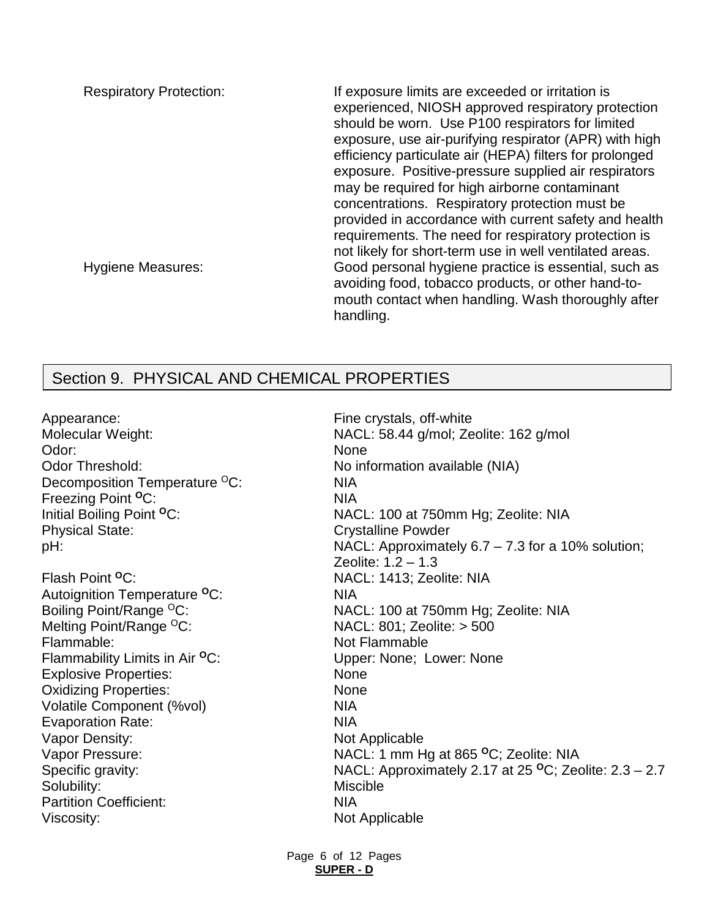Respiratory Protection: If exposure limits are exceeded or irritation is experienced, NIOSH approved respiratory protection should be worn. Use P100 respirators for limited exposure, use air-purifying respirator (APR) with high efficiency particulate air (HEPA) filters for prolonged exposure. Positive-pressure supplied air respirators may be required for high airborne contaminant concentrations. Respiratory protection must be provided in accordance with current safety and health requirements. The need for respiratory protection is not likely for short-term use in well ventilated areas. Hygiene Measures: Good personal hygiene practice is essential, such as avoiding food, tobacco products, or other hand-tomouth contact when handling. Wash thoroughly after handling.

# Section 9. PHYSICAL AND CHEMICAL PROPERTIES

Appearance: Appearance: Appearance: Appearance: Fine crystals, off-white Odor: None Odor Threshold: No information available (NIA) Decomposition Temperature <sup>O</sup>C: NIA Freezing Point <sup>O</sup>C: NIA Physical State: Crystalline Powder

Flash Point **<sup>O</sup>**C: NACL: 1413; Zeolite: NIA Autoignition Temperature **<sup>O</sup>**C: NIA Melting Point/Range <sup>O</sup>C: NACL: 801; Zeolite: > 500 Flammable: Not Flammable Flammability Limits in Air <sup>o</sup>C: Upper: None; Lower: None Explosive Properties: None Oxidizing Properties: None Volatile Component (%vol) NIA Evaporation Rate: NIA Vapor Density: Not Applicable Solubility: Miscible Miscible Partition Coefficient: NIA Viscosity: Not Applicable

Molecular Weight: MacL: 58.44 g/mol; Zeolite: 162 g/mol Initial Boiling Point <sup>o</sup>C: Nacles 200 at 750mm Hg; Zeolite: NIA pH: NACL: Approximately 6.7 – 7.3 for a 10% solution; Zeolite: 1.2 – 1.3 Boiling Point/Range <sup>O</sup>C: NACL: 100 at 750mm Hg; Zeolite: NIA Vapor Pressure: NACL: 1 mm Hg at 865 **<sup>O</sup>**C; Zeolite: NIA Specific gravity: Specific gravity: NACL: Approximately 2.17 at 25 <sup>o</sup>C; Zeolite: 2.3 – 2.7

> Page 6 of 12 Pages **SUPER - D**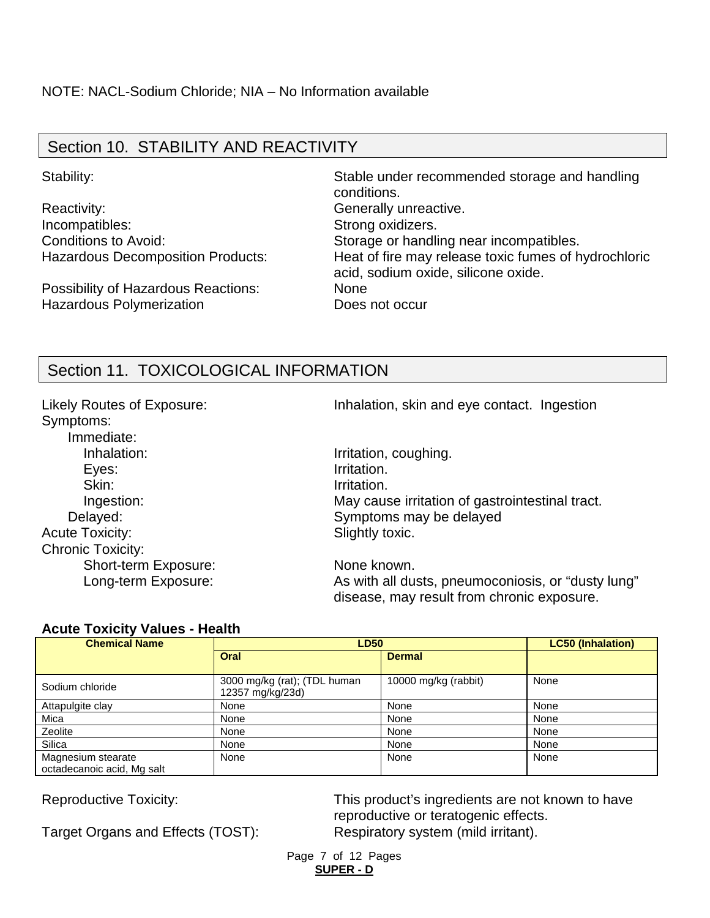# Section 10. STABILITY AND REACTIVITY

Reactivity: **Generally unreactive.** Incompatibles: Strong oxidizers.

Possibility of Hazardous Reactions: None Hazardous Polymerization **Does not occur** 

Stability: Stable under recommended storage and handling conditions. Conditions to Avoid: Storage or handling near incompatibles. Hazardous Decomposition Products: Heat of fire may release toxic fumes of hydrochloric acid, sodium oxide, silicone oxide.

# Section 11. TOXICOLOGICAL INFORMATION

Symptoms: Immediate: Inhalation: Inhalation: Inhalation, coughing. Eyes: Irritation. Skin: Irritation. Acute Toxicity: Slightly toxic. Chronic Toxicity: Short-term Exposure: None known.

Likely Routes of Exposure: Inhalation, skin and eye contact. Ingestion

Ingestion: May cause irritation of gastrointestinal tract. Delayed: Symptoms may be delayed

Long-term Exposure: As with all dusts, pneumoconiosis, or "dusty lung" disease, may result from chronic exposure.

#### **Acute Toxicity Values - Health**

| <b>Chemical Name</b>                             | <b>LD50</b>                                      | <b>LC50 (Inhalation)</b> |      |
|--------------------------------------------------|--------------------------------------------------|--------------------------|------|
|                                                  | Oral                                             | <b>Dermal</b>            |      |
| Sodium chloride                                  | 3000 mg/kg (rat); (TDL human<br>12357 mg/kg/23d) | 10000 mg/kg (rabbit)     | None |
| Attapulgite clay                                 | None                                             | None                     | None |
| Mica                                             | None                                             | None                     | None |
| Zeolite                                          | None                                             | None                     | None |
| Silica                                           | None                                             | None                     | None |
| Magnesium stearate<br>octadecanoic acid, Mg salt | None                                             | None                     | None |

Target Organs and Effects (TOST): Respiratory system (mild irritant).

Reproductive Toxicity: This product's ingredients are not known to have reproductive or teratogenic effects.

> Page 7 of 12 Pages **SUPER - D**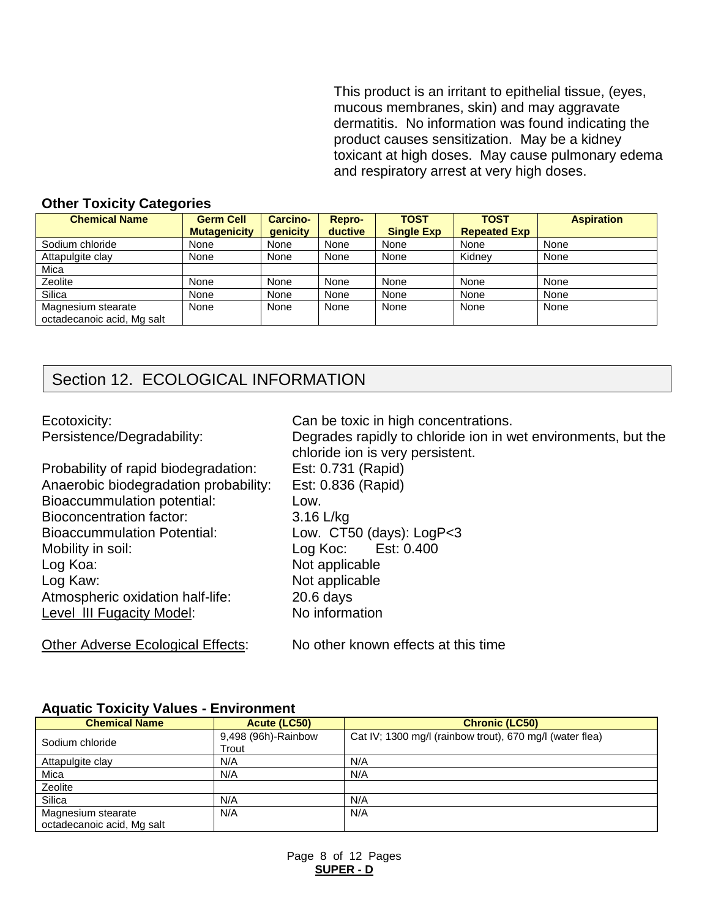This product is an irritant to epithelial tissue, (eyes, mucous membranes, skin) and may aggravate dermatitis. No information was found indicating the product causes sensitization. May be a kidney toxicant at high doses. May cause pulmonary edema and respiratory arrest at very high doses.

#### **Other Toxicity Categories**

| <b>Chemical Name</b>       | <b>Germ Cell</b><br><b>Mutagenicity</b> | <b>Carcino-</b><br>genicity | Repro-<br>ductive | <b>TOST</b><br><b>Single Exp</b> | <b>TOST</b><br><b>Repeated Exp</b> | <b>Aspiration</b> |
|----------------------------|-----------------------------------------|-----------------------------|-------------------|----------------------------------|------------------------------------|-------------------|
| Sodium chloride            | None                                    | None                        | None              | None                             | None                               | None              |
| Attapulgite clay           | None                                    | None                        | None              | None                             | Kidnev                             | None              |
| Mica                       |                                         |                             |                   |                                  |                                    |                   |
| Zeolite                    | None                                    | None                        | None              | None                             | None                               | None              |
| Silica                     | None                                    | None                        | None              | None                             | None                               | None              |
| Magnesium stearate         | None                                    | None                        | None              | None                             | None                               | None              |
| octadecanoic acid, Mg salt |                                         |                             |                   |                                  |                                    |                   |

# Section 12. ECOLOGICAL INFORMATION

| Ecotoxicity:                          | Can be toxic in high concentrations.                                                              |
|---------------------------------------|---------------------------------------------------------------------------------------------------|
| Persistence/Degradability:            | Degrades rapidly to chloride ion in wet environments, but the<br>chloride ion is very persistent. |
| Probability of rapid biodegradation:  | Est: 0.731 (Rapid)                                                                                |
| Anaerobic biodegradation probability: | Est: 0.836 (Rapid)                                                                                |
| Bioaccummulation potential:           | Low.                                                                                              |
| <b>Bioconcentration factor:</b>       | $3.16$ L/kg                                                                                       |
| <b>Bioaccummulation Potential:</b>    | Low. $CT50$ (days): $LogP < 3$                                                                    |
| Mobility in soil:                     | Log Koc: Est: 0.400                                                                               |
| Log Koa:                              | Not applicable                                                                                    |
| Log Kaw:                              | Not applicable                                                                                    |
| Atmospheric oxidation half-life:      | $20.6$ days                                                                                       |
| Level III Fugacity Model:             | No information                                                                                    |
|                                       |                                                                                                   |

Other Adverse Ecological Effects: No other known effects at this time

#### **Aquatic Toxicity Values - Environment**

| <b>Chemical Name</b>       | Acute (LC50)        | <b>Chronic (LC50)</b>                                    |
|----------------------------|---------------------|----------------------------------------------------------|
| Sodium chloride            | 9,498 (96h)-Rainbow | Cat IV; 1300 mg/l (rainbow trout), 670 mg/l (water flea) |
|                            | Trout               |                                                          |
| Attapulgite clay           | N/A                 | N/A                                                      |
| Mica                       | N/A                 | N/A                                                      |
| Zeolite                    |                     |                                                          |
| Silica                     | N/A                 | N/A                                                      |
| Magnesium stearate         | N/A                 | N/A                                                      |
| octadecanoic acid, Mg salt |                     |                                                          |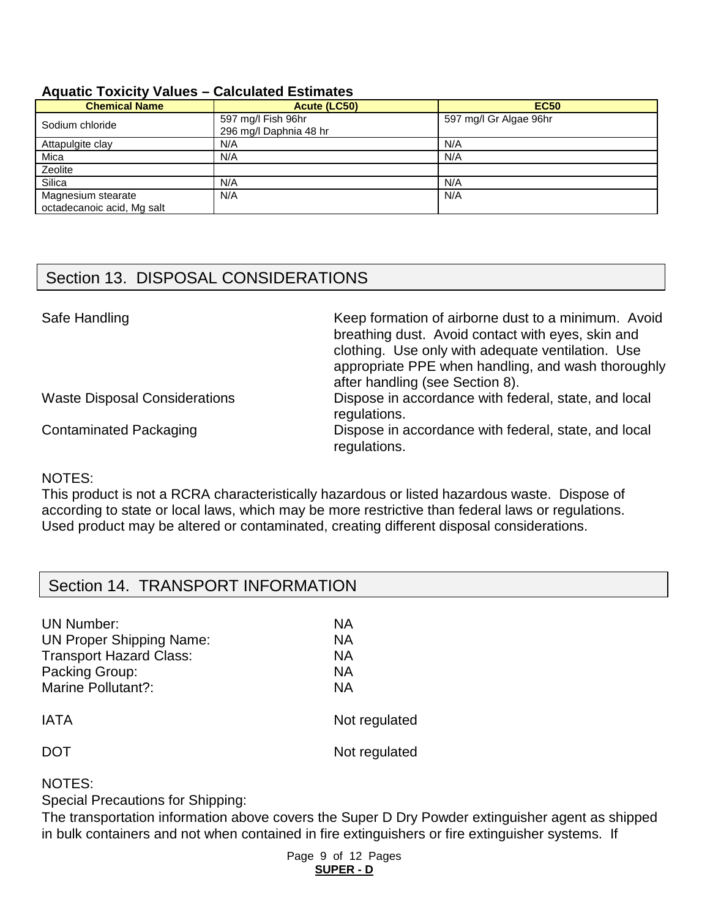#### **Aquatic Toxicity Values – Calculated Estimates**

| <b>Chemical Name</b>                             | Acute (LC50)                                 | <b>EC50</b>            |
|--------------------------------------------------|----------------------------------------------|------------------------|
| Sodium chloride                                  | 597 mg/l Fish 96hr<br>296 mg/l Daphnia 48 hr | 597 mg/l Gr Algae 96hr |
| Attapulgite clay                                 | N/A                                          | N/A                    |
| Mica                                             | N/A                                          | N/A                    |
| Zeolite                                          |                                              |                        |
| Silica                                           | N/A                                          | N/A                    |
| Magnesium stearate<br>octadecanoic acid, Mg salt | N/A                                          | N/A                    |

# Section 13. DISPOSAL CONSIDERATIONS

| Safe Handling                        | Keep formation of airborne dust to a minimum. Avoid<br>breathing dust. Avoid contact with eyes, skin and<br>clothing. Use only with adequate ventilation. Use<br>appropriate PPE when handling, and wash thoroughly<br>after handling (see Section 8). |
|--------------------------------------|--------------------------------------------------------------------------------------------------------------------------------------------------------------------------------------------------------------------------------------------------------|
| <b>Waste Disposal Considerations</b> | Dispose in accordance with federal, state, and local<br>regulations.                                                                                                                                                                                   |
| <b>Contaminated Packaging</b>        | Dispose in accordance with federal, state, and local<br>regulations.                                                                                                                                                                                   |

#### NOTES:

This product is not a RCRA characteristically hazardous or listed hazardous waste. Dispose of according to state or local laws, which may be more restrictive than federal laws or regulations. Used product may be altered or contaminated, creating different disposal considerations.

### Section 14. TRANSPORT INFORMATION

| <b>UN Number:</b>               | ΝA            |
|---------------------------------|---------------|
| <b>UN Proper Shipping Name:</b> | NA.           |
| <b>Transport Hazard Class:</b>  | NА            |
| Packing Group:                  | NА            |
| Marine Pollutant?:              | ΝA            |
| <b>IATA</b>                     | Not regulated |
| DO L                            | Not regulated |

#### NOTES:

Special Precautions for Shipping:

The transportation information above covers the Super D Dry Powder extinguisher agent as shipped in bulk containers and not when contained in fire extinguishers or fire extinguisher systems. If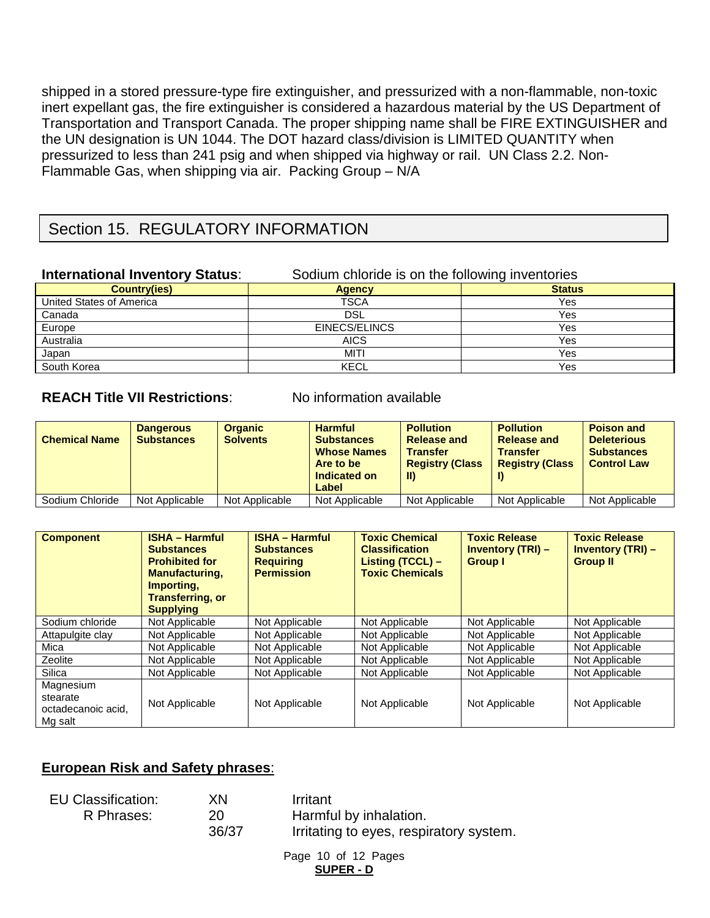shipped in a stored pressure-type fire extinguisher, and pressurized with a non-flammable, non-toxic inert expellant gas, the fire extinguisher is considered a hazardous material by the US Department of Transportation and Transport Canada. The proper shipping name shall be FIRE EXTINGUISHER and the UN designation is UN 1044. The DOT hazard class/division is LIMITED QUANTITY when pressurized to less than 241 psig and when shipped via highway or rail. UN Class 2.2. Non-Flammable Gas, when shipping via air. Packing Group – N/A

# Section 15. REGULATORY INFORMATION

| <b>International Inventory Status:</b> | Sodium chloride is on the following inventories |               |  |
|----------------------------------------|-------------------------------------------------|---------------|--|
| <b>Country(ies)</b>                    | <b>Agency</b>                                   | <b>Status</b> |  |
| United States of America               | <b>TSCA</b>                                     | Yes           |  |
| Canada                                 | <b>DSL</b>                                      | Yes           |  |
| Europe                                 | EINECS/ELINCS                                   | Yes           |  |
| Australia                              | <b>AICS</b>                                     | Yes           |  |
| Japan                                  | <b>MITI</b>                                     | Yes           |  |
| South Korea                            | <b>KECL</b>                                     | Yes           |  |

### **REACH Title VII Restrictions:** No information available

| <b>Chemical Name</b> | <b>Dangerous</b><br><b>Substances</b> | <b>Organic</b><br><b>Solvents</b> | <b>Harmful</b><br><b>Substances</b><br><b>Whose Names</b><br>Are to be<br>Indicated on<br>Label | <b>Pollution</b><br><b>Release and</b><br><b>Transfer</b><br><b>Registry (Class</b><br>-II) | <b>Pollution</b><br><b>Release and</b><br><b>Transfer</b><br><b>Registry (Class</b> | <b>Poison and</b><br><b>Deleterious</b><br><b>Substances</b><br><b>Control Law</b> |
|----------------------|---------------------------------------|-----------------------------------|-------------------------------------------------------------------------------------------------|---------------------------------------------------------------------------------------------|-------------------------------------------------------------------------------------|------------------------------------------------------------------------------------|
| Sodium Chloride      | Not Applicable                        | Not Applicable                    | Not Applicable                                                                                  | Not Applicable                                                                              | Not Applicable                                                                      | Not Applicable                                                                     |

| <b>Component</b>                                       | <b>ISHA - Harmful</b><br><b>Substances</b><br><b>Prohibited for</b><br><b>Manufacturing,</b><br>Importing.<br><b>Transferring, or</b><br><b>Supplying</b> | <b>ISHA - Harmful</b><br><b>Substances</b><br><b>Requiring</b><br><b>Permission</b> | <b>Toxic Chemical</b><br><b>Classification</b><br>Listing $(TCCL)$ –<br><b>Toxic Chemicals</b> | <b>Toxic Release</b><br><b>Inventory (TRI) -</b><br><b>Group I</b> | <b>Toxic Release</b><br><b>Inventory (TRI) -</b><br><b>Group II</b> |
|--------------------------------------------------------|-----------------------------------------------------------------------------------------------------------------------------------------------------------|-------------------------------------------------------------------------------------|------------------------------------------------------------------------------------------------|--------------------------------------------------------------------|---------------------------------------------------------------------|
| Sodium chloride                                        | Not Applicable                                                                                                                                            | Not Applicable                                                                      | Not Applicable                                                                                 | Not Applicable                                                     | Not Applicable                                                      |
| Attapulgite clay                                       | Not Applicable                                                                                                                                            | Not Applicable                                                                      | Not Applicable                                                                                 | Not Applicable                                                     | Not Applicable                                                      |
| Mica                                                   | Not Applicable                                                                                                                                            | Not Applicable                                                                      | Not Applicable                                                                                 | Not Applicable                                                     | Not Applicable                                                      |
| Zeolite                                                | Not Applicable                                                                                                                                            | Not Applicable                                                                      | Not Applicable                                                                                 | Not Applicable                                                     | Not Applicable                                                      |
| Silica                                                 | Not Applicable                                                                                                                                            | Not Applicable                                                                      | Not Applicable                                                                                 | Not Applicable                                                     | Not Applicable                                                      |
| Magnesium<br>stearate<br>octadecanoic acid.<br>Mg salt | Not Applicable                                                                                                                                            | Not Applicable                                                                      | Not Applicable                                                                                 | Not Applicable                                                     | Not Applicable                                                      |

### **European Risk and Safety phrases**:

| EU Classification: | ΧN    | Irritant                                |
|--------------------|-------|-----------------------------------------|
| R Phrases:         | 20    | Harmful by inhalation.                  |
|                    | 36/37 | Irritating to eyes, respiratory system. |

Page 10 of 12 Pages **SUPER - D**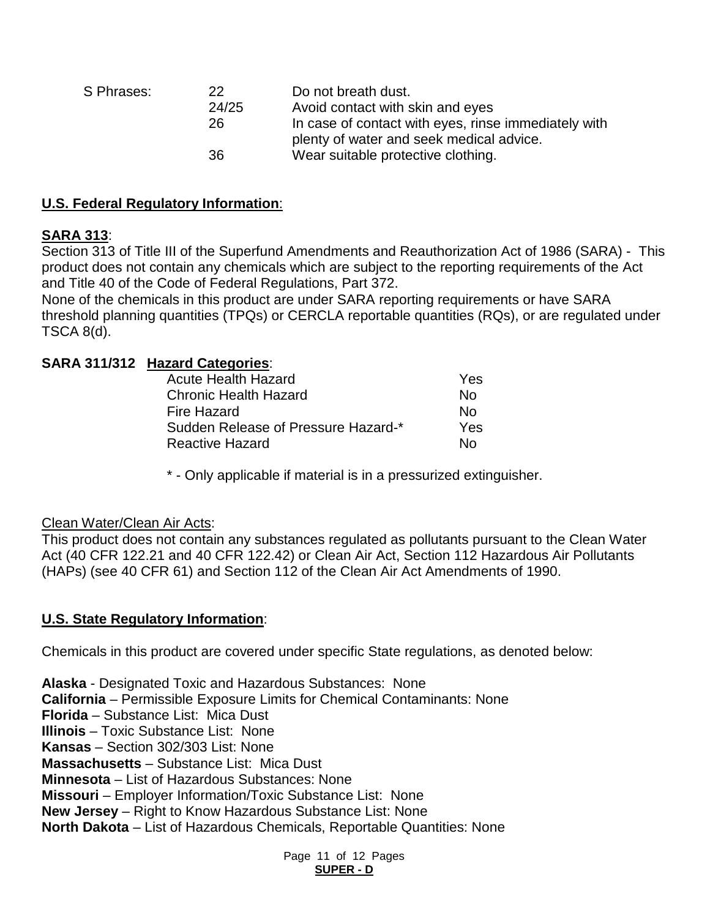| S Phrases: | 22<br>24/25<br>26 | Do not breath dust.<br>Avoid contact with skin and eyes<br>In case of contact with eyes, rinse immediately with<br>plenty of water and seek medical advice. |
|------------|-------------------|-------------------------------------------------------------------------------------------------------------------------------------------------------------|
|            | 36                | Wear suitable protective clothing.                                                                                                                          |

#### **U.S. Federal Regulatory Information**:

#### **SARA 313**:

Section 313 of Title III of the Superfund Amendments and Reauthorization Act of 1986 (SARA) - This product does not contain any chemicals which are subject to the reporting requirements of the Act and Title 40 of the Code of Federal Regulations, Part 372.

None of the chemicals in this product are under SARA reporting requirements or have SARA threshold planning quantities (TPQs) or CERCLA reportable quantities (RQs), or are regulated under TSCA 8(d).

#### **SARA 311/312 Hazard Categories**:

| <b>Acute Health Hazard</b>          | Yes |
|-------------------------------------|-----|
| <b>Chronic Health Hazard</b>        | N٥  |
| Fire Hazard                         | N∩  |
| Sudden Release of Pressure Hazard-* | Yes |
| <b>Reactive Hazard</b>              | N٥  |

\* - Only applicable if material is in a pressurized extinguisher.

#### Clean Water/Clean Air Acts:

This product does not contain any substances regulated as pollutants pursuant to the Clean Water Act (40 CFR 122.21 and 40 CFR 122.42) or Clean Air Act, Section 112 Hazardous Air Pollutants (HAPs) (see 40 CFR 61) and Section 112 of the Clean Air Act Amendments of 1990.

#### **U.S. State Regulatory Information**:

Chemicals in this product are covered under specific State regulations, as denoted below:

**Alaska** - Designated Toxic and Hazardous Substances: None **California** – Permissible Exposure Limits for Chemical Contaminants: None **Florida** – Substance List: Mica Dust **Illinois** – Toxic Substance List: None **Kansas** – Section 302/303 List: None **Massachusetts** – Substance List: Mica Dust **Minnesota** – List of Hazardous Substances: None **Missouri** – Employer Information/Toxic Substance List: None **New Jersey** – Right to Know Hazardous Substance List: None **North Dakota** – List of Hazardous Chemicals, Reportable Quantities: None

> Page 11 of 12 Pages **SUPER - D**